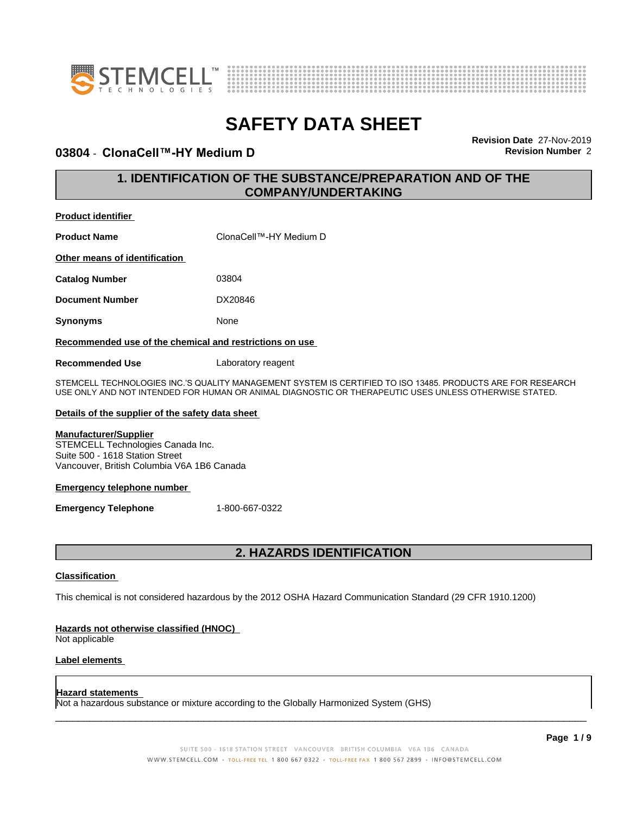



### **03804 - ClonaCell™-HY Medium D Revision** Number 2

**Revision Date** 27-Nov-2019

### **1. IDENTIFICATION OF THE SUBSTANCE/PREPARATION AND OF THE COMPANY/UNDERTAKING**

| Proquct Igentifier                                      |                        |  |
|---------------------------------------------------------|------------------------|--|
| <b>Product Name</b>                                     | ClonaCell™-HY Medium D |  |
| Other means of identification                           |                        |  |
| <b>Catalog Number</b>                                   | 03804                  |  |
| <b>Document Number</b>                                  | DX20846                |  |
| <b>Synonyms</b>                                         | None                   |  |
| Recommended use of the chemical and restrictions on use |                        |  |

**Recommended Use** Laboratory reagent

STEMCELL TECHNOLOGIES INC.'S QUALITY MANAGEMENT SYSTEM IS CERTIFIED TO ISO 13485. PRODUCTS ARE FOR RESEARCH USE ONLY AND NOT INTENDED FOR HUMAN OR ANIMAL DIAGNOSTIC OR THERAPEUTIC USES UNLESS OTHERWISE STATED.

### **Details of the supplier of the safety data sheet**

### **Manufacturer/Supplier**

**Product identifier**

STEMCELL Technologies Canada Inc. Suite 500 - 1618 Station Street Vancouver, British Columbia V6A 1B6 Canada

#### **Emergency telephone number**

**Emergency Telephone** 1-800-667-0322

### **2. HAZARDS IDENTIFICATION**

### **Classification**

This chemical is not considered hazardous by the 2012 OSHA Hazard Communication Standard (29 CFR 1910.1200)

### **Hazards not otherwise classified (HNOC)**

Not applicable

### **Label elements**

#### **Hazard statements**

Not a hazardous substance or mixture according to the Globally Harmonized System (GHS)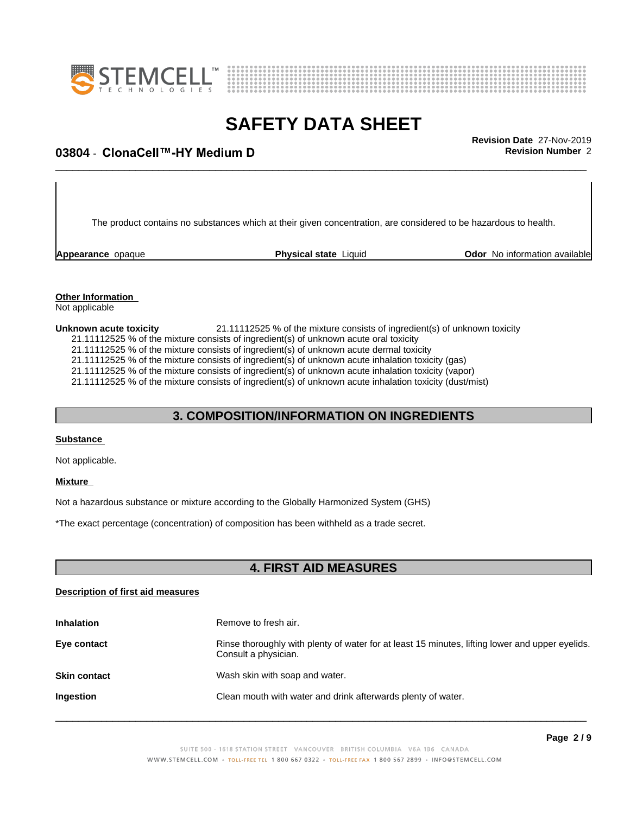



## \_\_\_\_\_\_\_\_\_\_\_\_\_\_\_\_\_\_\_\_\_\_\_\_\_\_\_\_\_\_\_\_\_\_\_\_\_\_\_\_\_\_\_\_\_\_\_\_\_\_\_\_\_\_\_\_\_\_\_\_\_\_\_\_\_\_\_\_\_\_\_\_\_\_\_\_\_\_\_\_\_\_\_\_\_\_\_\_\_\_\_\_\_ **Revision Date** 27-Nov-2019 **03804** - **ClonaCell™-HYMediumD Revision Number** 2

The product contains no substances which at their given concentration, are considered to be hazardous to health.

**Appearance** opaque **Physical state** Liquid **Odor No information available Appearance** opaque

#### **Other Information** Not applicable

**Unknown acute toxicity** 21.11112525 % of the mixture consists of ingredient(s) of unknown toxicity 21.11112525 % of the mixture consists of ingredient(s) of unknown acute oral toxicity 21.11112525 % of the mixture consists of ingredient(s) of unknown acute dermal toxicity 21.11112525 % of the mixture consists of ingredient(s) of unknown acute inhalation toxicity (gas) 21.11112525 % of the mixture consists of ingredient(s) of unknown acute inhalation toxicity (vapor) 21.11112525 % of the mixture consists of ingredient(s) of unknown acute inhalation toxicity (dust/mist)

### **3. COMPOSITION/INFORMATION ON INGREDIENTS**

### **Substance**

Not applicable.

### **Mixture**

Not a hazardous substance or mixture according to the Globally Harmonized System (GHS)

\*The exact percentage (concentration) ofcomposition has been withheld as a trade secret.

### **4. FIRST AID MEASURES**

### **Description of first aid measures**

| <b>Inhalation</b>   | Remove to fresh air.                                                                                                    |
|---------------------|-------------------------------------------------------------------------------------------------------------------------|
| Eye contact         | Rinse thoroughly with plenty of water for at least 15 minutes, lifting lower and upper eyelids.<br>Consult a physician. |
| <b>Skin contact</b> | Wash skin with soap and water.                                                                                          |
| Ingestion           | Clean mouth with water and drink afterwards plenty of water.                                                            |
|                     |                                                                                                                         |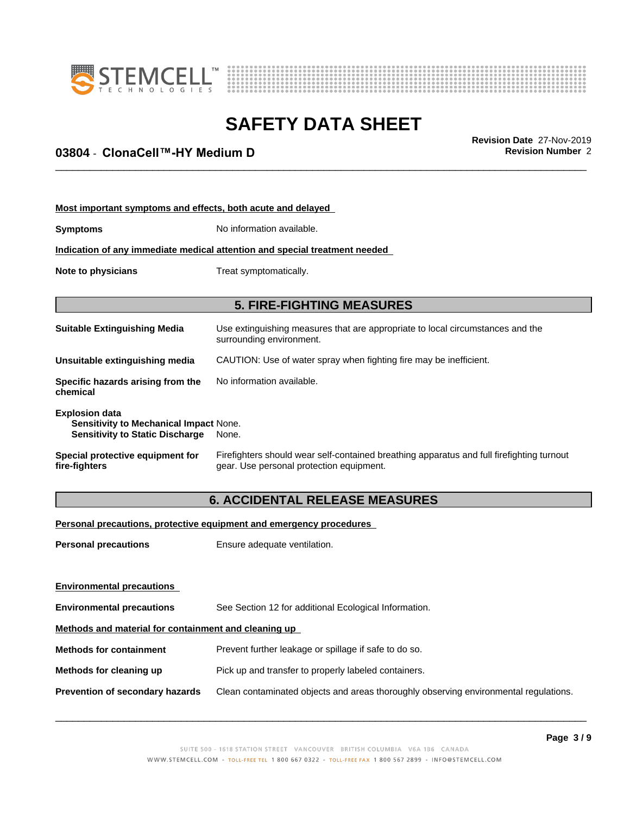



## \_\_\_\_\_\_\_\_\_\_\_\_\_\_\_\_\_\_\_\_\_\_\_\_\_\_\_\_\_\_\_\_\_\_\_\_\_\_\_\_\_\_\_\_\_\_\_\_\_\_\_\_\_\_\_\_\_\_\_\_\_\_\_\_\_\_\_\_\_\_\_\_\_\_\_\_\_\_\_\_\_\_\_\_\_\_\_\_\_\_\_\_\_ **Revision Date** 27-Nov-2019 **03804** - **ClonaCell™-HYMediumD Revision Number** 2

| Most important symptoms and effects, both acute and delayed                                               |                                                                                                                                       |  |  |
|-----------------------------------------------------------------------------------------------------------|---------------------------------------------------------------------------------------------------------------------------------------|--|--|
| <b>Symptoms</b>                                                                                           | No information available.                                                                                                             |  |  |
|                                                                                                           | Indication of any immediate medical attention and special treatment needed                                                            |  |  |
| Treat symptomatically.<br>Note to physicians                                                              |                                                                                                                                       |  |  |
|                                                                                                           | <b>5. FIRE-FIGHTING MEASURES</b>                                                                                                      |  |  |
| <b>Suitable Extinguishing Media</b>                                                                       | Use extinguishing measures that are appropriate to local circumstances and the<br>surrounding environment.                            |  |  |
| Unsuitable extinguishing media                                                                            | CAUTION: Use of water spray when fighting fire may be inefficient.                                                                    |  |  |
| Specific hazards arising from the<br>chemical                                                             | No information available.                                                                                                             |  |  |
| <b>Explosion data</b><br>Sensitivity to Mechanical Impact None.<br><b>Sensitivity to Static Discharge</b> | None.                                                                                                                                 |  |  |
| Special protective equipment for<br>fire-fighters                                                         | Firefighters should wear self-contained breathing apparatus and full firefighting turnout<br>gear. Use personal protection equipment. |  |  |
|                                                                                                           | <b>6. ACCIDENTAL RELEASE MEASURES</b>                                                                                                 |  |  |
|                                                                                                           | Personal precautions, protective equipment and emergency procedures                                                                   |  |  |
| <b>Personal precautions</b>                                                                               | Ensure adequate ventilation.                                                                                                          |  |  |

**Environmental precautions Environmental precautions** See Section 12 for additional Ecological Information. **Methods and material for containment and cleaning up Methods for containment** Prevent further leakage or spillage if safe to do so. **Methods for cleaning up** Pick up and transfer to properly labeled containers. **Prevention of secondary hazards** Clean contaminated objects and areas thoroughly observing environmental regulations.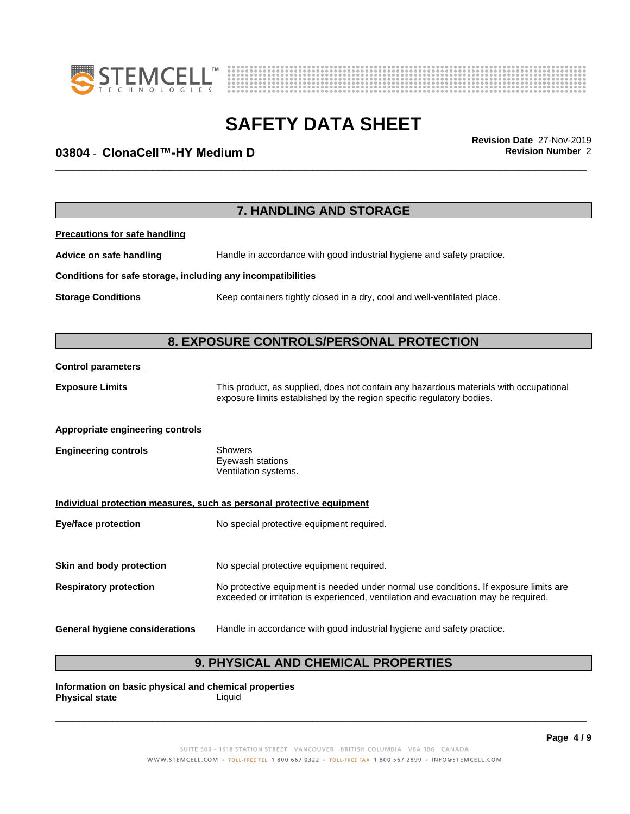



## \_\_\_\_\_\_\_\_\_\_\_\_\_\_\_\_\_\_\_\_\_\_\_\_\_\_\_\_\_\_\_\_\_\_\_\_\_\_\_\_\_\_\_\_\_\_\_\_\_\_\_\_\_\_\_\_\_\_\_\_\_\_\_\_\_\_\_\_\_\_\_\_\_\_\_\_\_\_\_\_\_\_\_\_\_\_\_\_\_\_\_\_\_ **Revision Date** 27-Nov-2019 **03804** - **ClonaCell™-HYMediumD Revision Number** 2

|                                                              | 7. HANDLING AND STORAGE                                                                                                                                                     |
|--------------------------------------------------------------|-----------------------------------------------------------------------------------------------------------------------------------------------------------------------------|
| <b>Precautions for safe handling</b>                         |                                                                                                                                                                             |
| Advice on safe handling                                      | Handle in accordance with good industrial hygiene and safety practice.                                                                                                      |
| Conditions for safe storage, including any incompatibilities |                                                                                                                                                                             |
| <b>Storage Conditions</b>                                    | Keep containers tightly closed in a dry, cool and well-ventilated place.                                                                                                    |
|                                                              | 8. EXPOSURE CONTROLS/PERSONAL PROTECTION                                                                                                                                    |
| <b>Control parameters</b>                                    |                                                                                                                                                                             |
| <b>Exposure Limits</b>                                       | This product, as supplied, does not contain any hazardous materials with occupational<br>exposure limits established by the region specific regulatory bodies.              |
| <b>Appropriate engineering controls</b>                      |                                                                                                                                                                             |
| <b>Engineering controls</b>                                  | Showers<br>Eyewash stations<br>Ventilation systems.                                                                                                                         |
|                                                              | Individual protection measures, such as personal protective equipment                                                                                                       |
| <b>Eye/face protection</b>                                   | No special protective equipment required.                                                                                                                                   |
| Skin and body protection                                     | No special protective equipment required.                                                                                                                                   |
| <b>Respiratory protection</b>                                | No protective equipment is needed under normal use conditions. If exposure limits are<br>exceeded or irritation is experienced, ventilation and evacuation may be required. |
| <b>General hygiene considerations</b>                        | Handle in accordance with good industrial hygiene and safety practice.                                                                                                      |

### **9. PHYSICAL AND CHEMICAL PROPERTIES**

**Information on basic physical and chemical properties Physical state** Liquid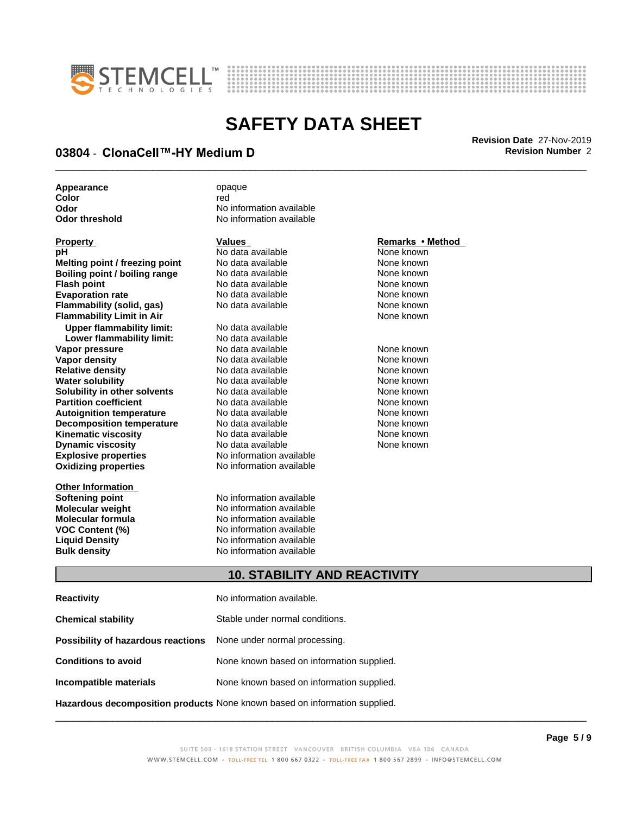



## \_\_\_\_\_\_\_\_\_\_\_\_\_\_\_\_\_\_\_\_\_\_\_\_\_\_\_\_\_\_\_\_\_\_\_\_\_\_\_\_\_\_\_\_\_\_\_\_\_\_\_\_\_\_\_\_\_\_\_\_\_\_\_\_\_\_\_\_\_\_\_\_\_\_\_\_\_\_\_\_\_\_\_\_\_\_\_\_\_\_\_\_\_ **Revision Date** 27-Nov-2019 **03804** - **ClonaCell™-HYMediumD Revision Number** 2

Appearance opaque

**Explosive properties** No information available **Oxidizing properties** No information available **pH** No data available None known **Melting point / freezing point** No data available None known **Boiling point / boiling range** No data available **None known**<br> **Plash point / boiling range** No data available **None known Flash point**<br> **Flash point**<br> **Evaporation rate** No data available None known<br>
None known **Evaporation rate Conservential School and None Conservential Arist Arist Conservential Conservential Arist Mone known**<br> **Flammability (solid. gas)** No data available **None known Flammability (solid, gas)** No data available None known<br> **Flammability Limit in Air** None Known **Flammability Limit in Air Upper flammability limit:** No data available **Lower flammability limit: Vapor pressure No data available and the None known**<br> **Vapor density No data available None known**<br>
No data available **None known Vapor density No data available None known**<br> **Relative density No data available None known**<br>
None known **Relative density No data available and the Shown None known**<br> **Water solubility No data available None known None known Water solubility No data available**<br> **Solubility in other solvents** No data available **Solubility in other solvents** No data available **None known**<br> **Partition coefficient** No data available None known **Partition coefficient**<br> **Autoignition temperature** No data available None known<br>
None known **Autoignition temperature No data available None known**<br> **Decomposition temperature** No data available **None known**<br>
None known **Decomposition temperature** No data available None known<br> **Kinematic viscosity** No data available None known **Kinematic viscosity Dynamic viscosity No data available None known** 

**Other Information**

**Color** red red **Color Odor Odor** No information available<br> **Odor threshold No information available No information available** 

**Softening point No information available**<br> **Molecular weight No information available Molecular weight Molecular is a structure of the No information available Molecular formula Molecular System Molecular formula No information available**<br>**VOC Content (%)** No information available **VOC Content (%)** No information available **Liquid Density** No information available **Bulk density** No information available

#### **Property Remarks •Method Values Remarks** •Method

### **10. STABILITY AND REACTIVITY**

| <b>Reactivity</b>                                                       | No information available.                                                  |
|-------------------------------------------------------------------------|----------------------------------------------------------------------------|
| <b>Chemical stability</b>                                               | Stable under normal conditions.                                            |
| <b>Possibility of hazardous reactions</b> None under normal processing. |                                                                            |
| <b>Conditions to avoid</b>                                              | None known based on information supplied.                                  |
| Incompatible materials                                                  | None known based on information supplied.                                  |
|                                                                         | Hazardous decomposition products None known based on information supplied. |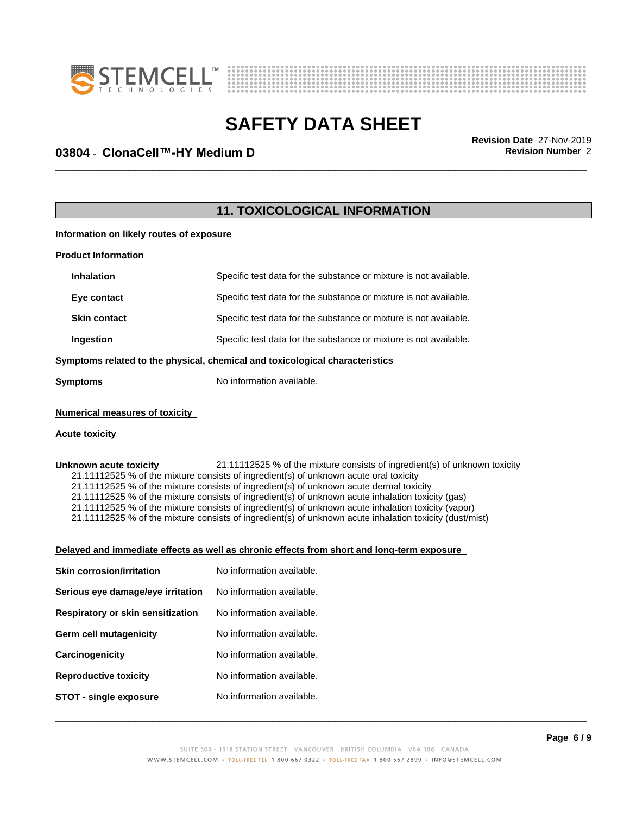



## \_\_\_\_\_\_\_\_\_\_\_\_\_\_\_\_\_\_\_\_\_\_\_\_\_\_\_\_\_\_\_\_\_\_\_\_\_\_\_\_\_\_\_\_\_\_\_\_\_\_\_\_\_\_\_\_\_\_\_\_\_\_\_\_\_\_\_\_\_\_\_\_\_\_\_\_\_\_\_\_\_\_\_\_\_\_\_\_\_\_\_\_\_ **Revision Date** 27-Nov-2019 **03804** - **ClonaCell™-HYMediumD Revision Number** 2

### **11. TOXICOLOGICAL INFORMATION**

**Information on likely routes of exposure**

| Specific test data for the substance or mixture is not available. |
|-------------------------------------------------------------------|
| Specific test data for the substance or mixture is not available. |
| Specific test data for the substance or mixture is not available. |
| Specific test data for the substance or mixture is not available. |
|                                                                   |

**<u>Symptoms related to the physical, chemical and toxicological characteristics</u>** 

**Symptoms** No information available.

### **Numerical measures of toxicity**

#### **Acute toxicity**

Unknown acute toxicity 21.11112525 % of the mixture consists of ingredient(s) of unknown toxicity 21.11112525 % of the mixture consists of ingredient(s) of unknown acute oral toxicity 21.11112525 % of the mixture consists of ingredient(s) of unknown acute dermal toxicity 21.11112525 % of the mixture consists of ingredient(s) of unknown acute inhalation toxicity (gas) 21.11112525 % of the mixture consists of ingredient(s) of unknown acute inhalation toxicity (vapor) 21.11112525 % of the mixture consists of ingredient(s) of unknown acute inhalation toxicity (dust/mist)

### **Delayed and immediate effects as well as chronic effects from short and long-term exposure**

| <b>Skin corrosion/irritation</b>  | No information available. |
|-----------------------------------|---------------------------|
| Serious eye damage/eye irritation | No information available. |
| Respiratory or skin sensitization | No information available. |
| Germ cell mutagenicity            | No information available. |
| Carcinogenicity                   | No information available. |
| <b>Reproductive toxicity</b>      | No information available. |
| <b>STOT - single exposure</b>     | No information available. |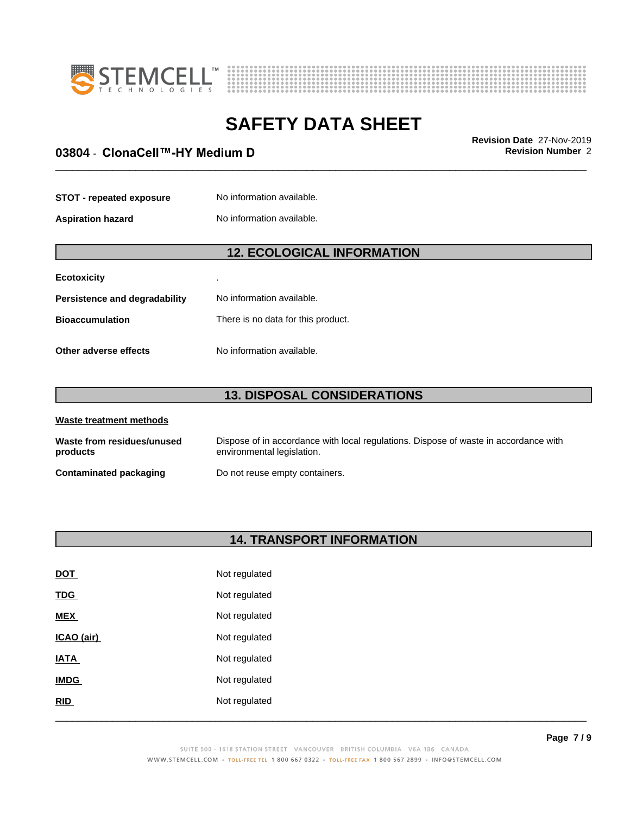



## \_\_\_\_\_\_\_\_\_\_\_\_\_\_\_\_\_\_\_\_\_\_\_\_\_\_\_\_\_\_\_\_\_\_\_\_\_\_\_\_\_\_\_\_\_\_\_\_\_\_\_\_\_\_\_\_\_\_\_\_\_\_\_\_\_\_\_\_\_\_\_\_\_\_\_\_\_\_\_\_\_\_\_\_\_\_\_\_\_\_\_\_\_ **Revision Date** 27-Nov-2019 **03804** - **ClonaCell™-HYMediumD Revision Number** 2

| <b>STOT - repeated exposure</b> | No information available. |
|---------------------------------|---------------------------|
|                                 |                           |

**Aspiration hazard** No information available.

### **12. ECOLOGICAL INFORMATION**

| <b>Ecotoxicity</b>            |                                    |
|-------------------------------|------------------------------------|
| Persistence and degradability | No information available.          |
| <b>Bioaccumulation</b>        | There is no data for this product. |
| Other adverse effects         | No information available.          |

### **13. DISPOSAL CONSIDERATIONS**

| Waste treatment methods                |                                                                                                                    |  |  |
|----------------------------------------|--------------------------------------------------------------------------------------------------------------------|--|--|
| Waste from residues/unused<br>products | Dispose of in accordance with local regulations. Dispose of waste in accordance with<br>environmental legislation. |  |  |
| <b>Contaminated packaging</b>          | Do not reuse empty containers.                                                                                     |  |  |

### **14. TRANSPORT INFORMATION**

| <u>DOT</u>  | Not regulated |
|-------------|---------------|
| <b>TDG</b>  | Not regulated |
| <b>MEX</b>  | Not regulated |
| ICAO (air)  | Not regulated |
| <b>IATA</b> | Not regulated |
| <b>IMDG</b> | Not regulated |
| RID         | Not regulated |
|             |               |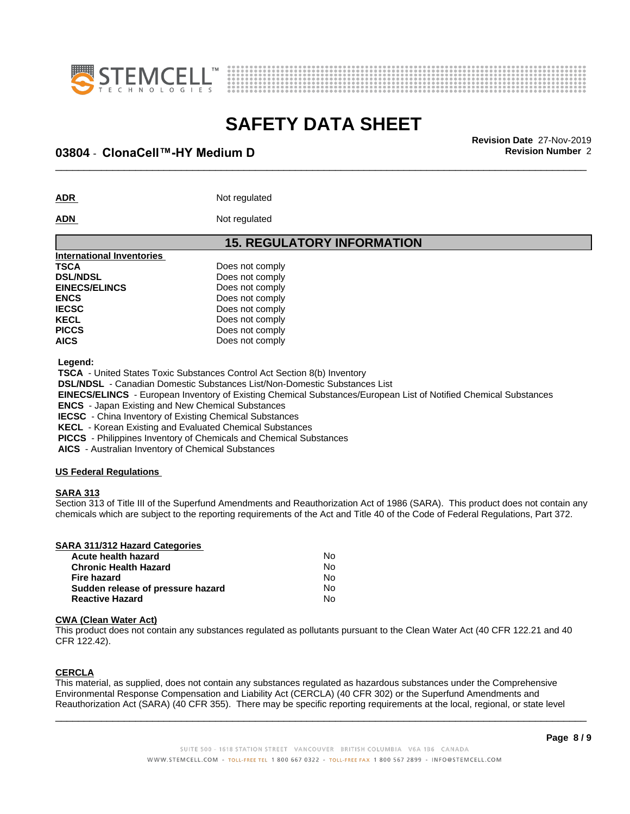



## \_\_\_\_\_\_\_\_\_\_\_\_\_\_\_\_\_\_\_\_\_\_\_\_\_\_\_\_\_\_\_\_\_\_\_\_\_\_\_\_\_\_\_\_\_\_\_\_\_\_\_\_\_\_\_\_\_\_\_\_\_\_\_\_\_\_\_\_\_\_\_\_\_\_\_\_\_\_\_\_\_\_\_\_\_\_\_\_\_\_\_\_\_ **Revision Date** 27-Nov-2019 **03804** - **ClonaCell™-HYMediumD Revision Number** 2

ADR **ADR** Not regulated

**ADN** Not regulated

# **15. REGULATORY INFORMATION**

| <b>International Inventories</b> |                 |  |
|----------------------------------|-----------------|--|
| TSCA                             | Does not comply |  |
| <b>DSL/NDSL</b>                  | Does not comply |  |
| <b>EINECS/ELINCS</b>             | Does not comply |  |
| <b>ENCS</b>                      | Does not comply |  |
| <b>IECSC</b>                     | Does not comply |  |
| KECL                             | Does not comply |  |
| <b>PICCS</b>                     | Does not comply |  |
| AICS                             | Does not comply |  |
|                                  |                 |  |

 **Legend:**

 **TSCA** - United States Toxic Substances Control Act Section 8(b) Inventory

 **DSL/NDSL** - Canadian Domestic Substances List/Non-Domestic Substances List

 **EINECS/ELINCS** - European Inventory of Existing Chemical Substances/European List of Notified Chemical Substances

 **ENCS** - Japan Existing and New Chemical Substances

 **IECSC** - China Inventory of Existing Chemical Substances

 **KECL** - Korean Existing and Evaluated Chemical Substances

 **PICCS** - Philippines Inventory of Chemicals and Chemical Substances

 **AICS** - Australian Inventory of Chemical Substances

### **US Federal Regulations**

### **SARA 313**

Section 313 of Title III of the Superfund Amendments and Reauthorization Act of 1986 (SARA). This product does not contain any chemicals which are subject to the reporting requirements of the Act and Title 40 of the Code of Federal Regulations, Part 372.

| <b>SARA 311/312 Hazard Categories</b> |    |  |
|---------------------------------------|----|--|
| Acute health hazard                   | N٥ |  |
| <b>Chronic Health Hazard</b>          | No |  |
| Fire hazard                           | N٥ |  |
| Sudden release of pressure hazard     | No |  |

**Reactive Hazard** No

#### **CWA (Clean WaterAct)**

This product does not contain any substances regulated as pollutants pursuant to the Clean Water Act (40 CFR 122.21 and 40 CFR 122.42).

### **CERCLA**

This material, as supplied, does not contain any substances regulated as hazardous substances under the Comprehensive Environmental Response Compensation and Liability Act (CERCLA) (40 CFR 302) or the Superfund Amendments and Reauthorization Act (SARA) (40 CFR 355). There may be specific reporting requirements at the local, regional, or state level